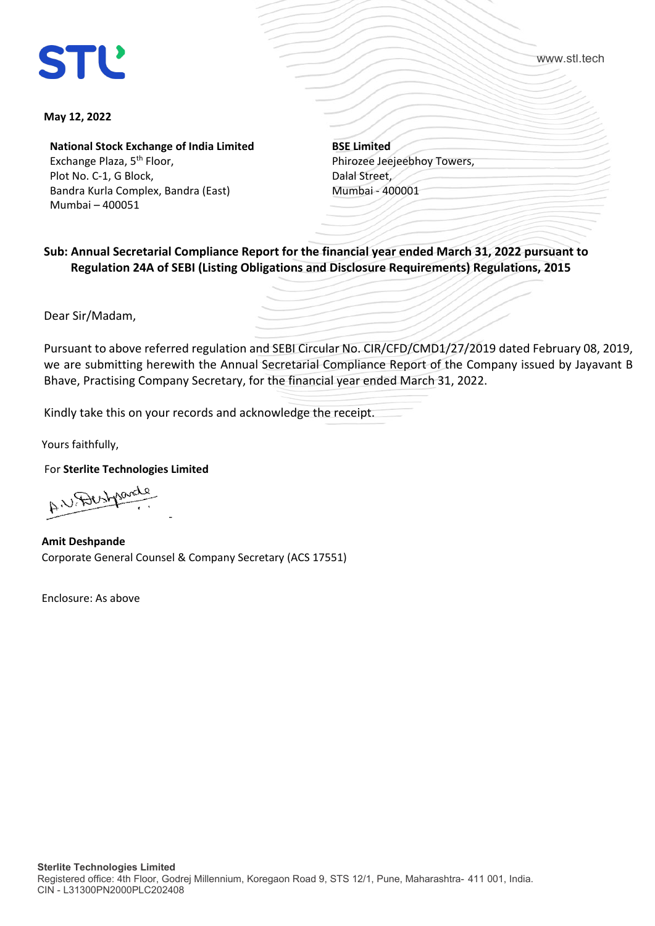www.stl.tech

## **May 12, 2022**

**National Stock Exchange of India Limited** Exchange Plaza, 5<sup>th</sup> Floor, Plot No. C-1, G Block,

Bandra Kurla Complex, Bandra (East) Mumbai – 400051

**BSE Limited** Phirozee Jeejeebhoy Towers, Dalal Street, Mumbai - 400001

**Sub: Annual Secretarial Compliance Report for the financial year ended March 31, 2022 pursuant to Regulation 24A of SEBI (Listing Obligations and Disclosure Requirements) Regulations, 2015**

Dear Sir/Madam,

Pursuant to above referred regulation and SEBI Circular No. CIR/CFD/CMD1/27/2019 dated February 08, 2019, we are submitting herewith the Annual Secretarial Compliance Report of the Company issued by Jayavant B Bhave, Practising Company Secretary, for the financial year ended March 31, 2022.

Kindly take this on your records and acknowledge the receipt.

Yours faithfully,

For **Sterlite Technologies Limited**

AW. Destroyed -

**Amit Deshpande** Corporate General Counsel & Company Secretary (ACS 17551)

Enclosure: As above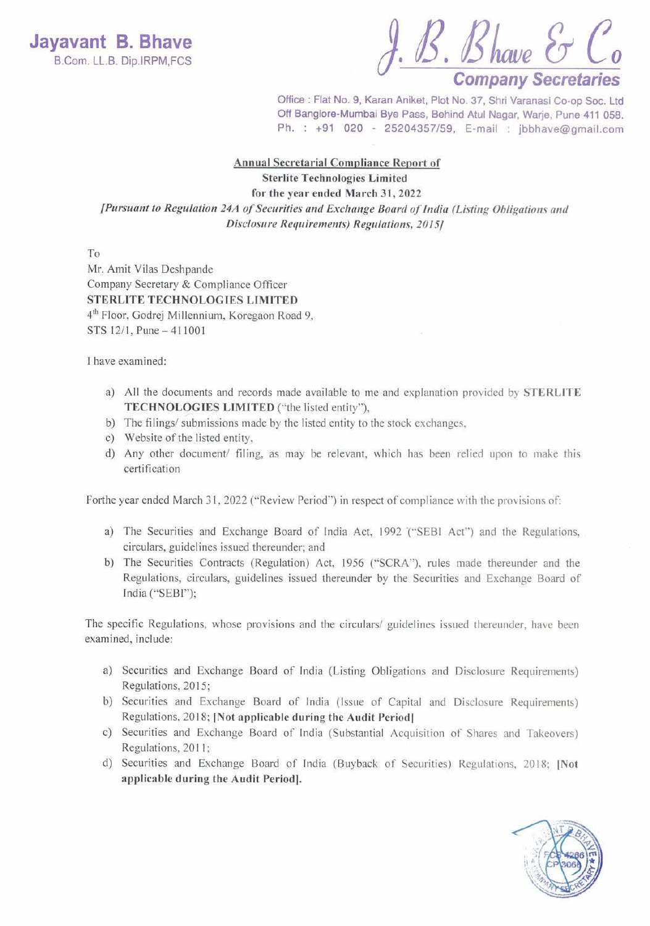$B.S.$  Bhave  $J.S.$  *S* have  $\mathcal{S} \subset C_0$ <br>B.Com. LL.B. Dip.IRPM,FCS

Office: Flat No. 9, Karan Aniket, Plot No. 37, Shri Varanasi Co-op Soc. Ltd Off Banglore-Mumbai Bye Pass, Behind Atul Nagar, Warje, Pune 411 058. Ph. : +91 020 - 25204357/59, E-mail : jbbhave@gmail.com

## **Annual Secretarial Compliance Report of**

Sterlite Technologies Limited

for the year ended March 31, 2022

*[Pursuant to Regulation 24A of Securities and Exchange Board of India (Listing Obligations and Disclosure Requirement:.) Regulations, 2015]* 

To

Mr. Amit Vilas Deshpande Company Secretary & Compliance Officer **STERLlTE TECHNOLOGIES LIMITED**  41 h Floor, Godrej Millennium, Koregaon Road 9, STS 12/1, Pune - 411001

I have examined:

- a) All the documents and records made available to me and explanation provided by **STERLITE TECHNOLOGIES LIMITED** ("the listed entity"),
- b) The filings/ submissions made by the listed entity to the stock exchanges,
- c) Website of the listed entity,
- d) Any other document/ filing, as may be relevant, which has been relied upon to make this certification

Forthe year ended March 31, 2022 ("Review Period") in respect of compliance with the provisions of:

- a) The Securities and Exchange Board of India Act, 1992 '(''SEBI Act'") and the Regulations, circulars, guidelines issued thereunder; and
- b) The Securities Contracts (Regulation) Act, 1956 ("SCRA"), rules made thereunder and the Regulations, circulars, guidelines issued thereunder by the Securities and Exchange Board of India ("SEBI'');

The specific Regulations, whose provisions and the circulars/ guidelines issued thereunder, have been examined, include:

- a) Securities and Exchange Board of India (Listing Obligations and Disclosure Requirements) Regulations, 2015;
- b) Securities and Exchange Board of India (Issue of Capital and Disclosure Requirements) Regulations, 2018; [Not applicable during the Audit Period]
- c) Securities and Exchange Board of lndia (Substantia l Acquisition of Shares and Takeovers) Regulations, 20 I I;
- d) Securities and Exchange Board of India (Buyback of Securities) Regulations, 2018; **[Not applicable during the Audit Period].**

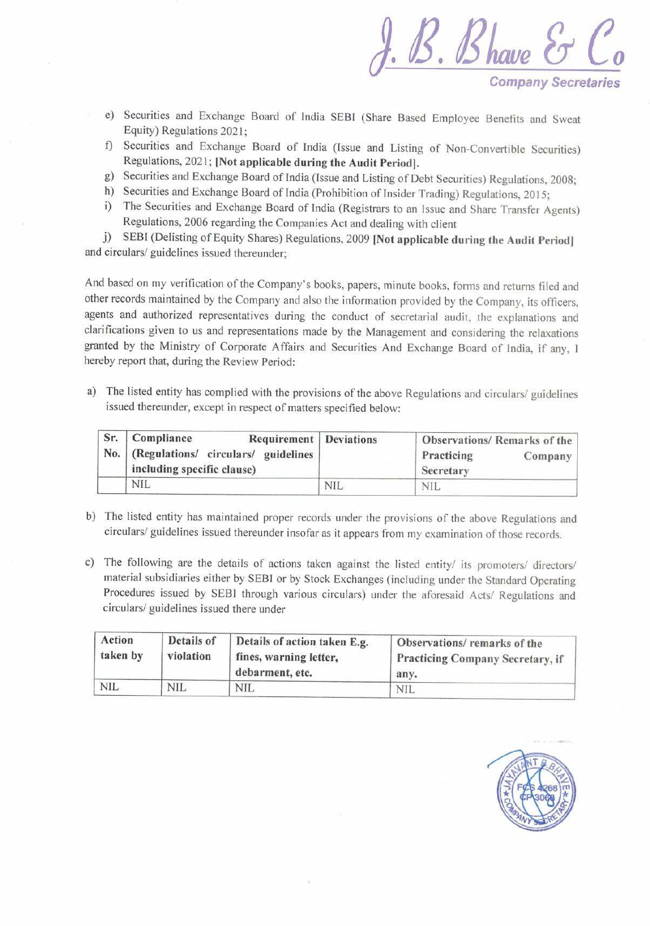*J.B. Blwue* **&** *Co*  **Company Secretaries** 

- e) Securities and Exchange Board of India SEBI (Share Based Employee Benefits and Sweat Equity) Regulations 2021;
- t) Securities and Exchange Board of India (Issue and Listing of Non-Convertible Securities) Regulations, 2021; **[Not applicable during the Audit Period].**
- g) Securities and Exchange Board of India (Issue and Listing of Debt Securities) Regulations, 2008;
- h) Securities and Exchange Board of India (Prohibition of Insider Trading) Regulations, 2015;
- i) The Securities and Exchange Board of India (Registrars to an Issue and Share Transfer Agents) Regulations, 2006 regarding the Companies Act and dealing with client

j) SEBI (Delisting of Equity Shares) Regulations, 2009 [Not applicable during the Audit Period] and circulars/ guidelines issued thereunder;

And based on my verification of the Company's books, papers, minute books, forms and returns filed and other records maintained by the Company and also the information provided by the Company, its officers, agents and authorized representatives during the conduct of secretarial audit, the explanations and clarifications given to us and representations made by the Management and considering the relaxations granted by the Ministry of Corporate Affairs and Securities And Exchange Board of India, if any, I hereby report that, during the Review Period:

a) The listed entity has complied with the provisions of the above Regulations and circulars/ guidelines issued thereunder, except in respect of matters specified below:

| Sr. Compliance<br><b>Requirement</b> Deviations                           |     | Observations/Remarks of the        |  |
|---------------------------------------------------------------------------|-----|------------------------------------|--|
| No.   (Regulations/ circulars/ guidelines  <br>including specific clause) |     | Practicing<br>Company<br>Secretary |  |
| <b>NIL</b>                                                                | NIL | NII.                               |  |

- b) The listed entity has maintained proper records under the provisions of the above Regulations and circulars/ guidelines issued thereunder insofar as it appears from my examination of those records.
- c) The following are the details of actions taken against the listed entity/ its promoters/ directors/ material subsidiaries either by SEBI or by Stock Exchanges (including under the Standard Operating Procedures issued by SEBI through various circulars) under the aforesaid Acts/ Regulations and circulars/ guidelines issued there under

| Action<br>taken by | Details of<br>violation | Details of action taken E.g.<br>fines, warning letter,<br>debarment, etc. | Observations/remarks of the<br>Practicing Company Secretary, if<br>any. |  |
|--------------------|-------------------------|---------------------------------------------------------------------------|-------------------------------------------------------------------------|--|
| NIL                | NIL.                    | <b>NIL</b>                                                                | <b>NIL</b>                                                              |  |

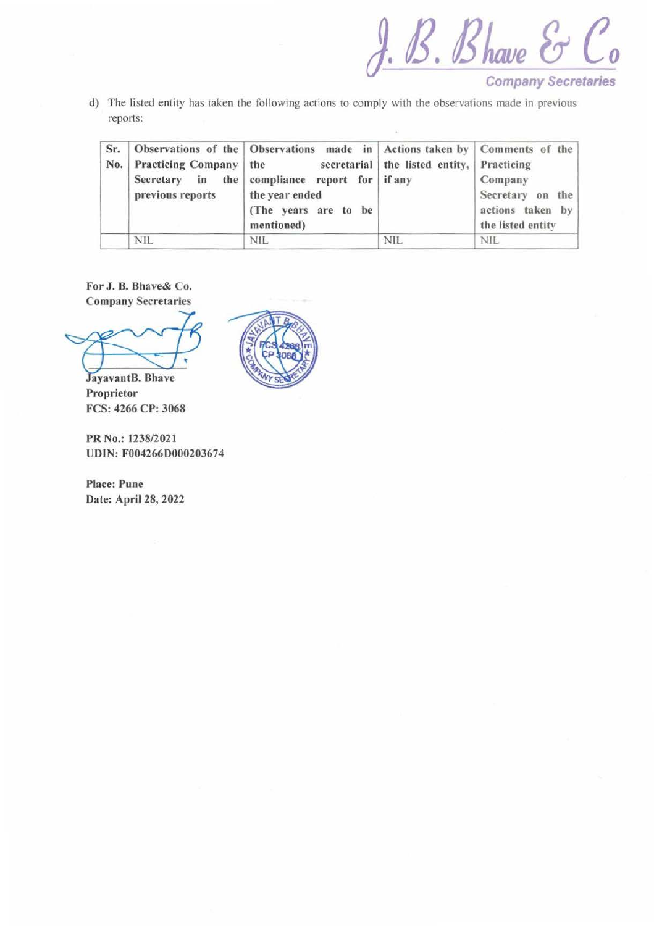*J.B. Blwue* & *Co* 

- **Company Secretaries**
- d) The listed entity has taken the following actions to comply with the observations made in previous reports:

| Sr.<br>No. | Practicing Company   the<br>previous reports | Observations of the   Observations made in   Actions taken by   Comments of the<br>Secretary in the compliance report for if any<br>the year ended<br>(The years are to be<br>mentioned) | secretarial   the listed entity,   Practicing | Company<br>Secretary on the<br>actions taken by<br>the listed entity |
|------------|----------------------------------------------|------------------------------------------------------------------------------------------------------------------------------------------------------------------------------------------|-----------------------------------------------|----------------------------------------------------------------------|
|            | <b>NIL</b>                                   | <b>NIL</b>                                                                                                                                                                               | <b>NIL</b>                                    | NIL.                                                                 |

For J. 8. Bhave& Co. Company Secretaries

JayavantB. Bhave Proprietor FCS: 4266 CP: 3068

PR No.: 1238/2021 UDIN: F004266D000203674

Place: Pune Date: April 28, 2022

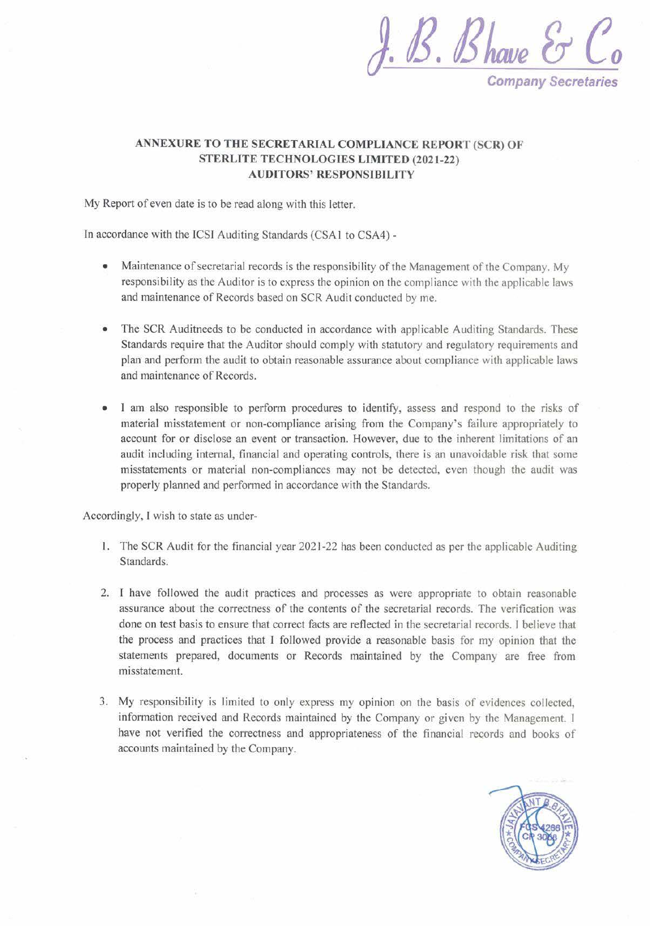

## **ANNEXURE TO THE SECRETARIAL COMPLIANCE REPORT (SCR) OF STERLITE TECHNOLOGIES LIMITED (2021-22) AUDITORS' RESPONSIBILITY**

My Report of even date is to be read along with this letter.

In accordance with the ICSI Auditing Standards (CSA1 to CSA4) -

- Maintenance of secretarial records is the responsibility of the Management of the Company. My responsibility as the Auditor is to express the opinion on the compliance with the applicable laws and maintenance of Records based on SCR Audit conducted by me.
- The SCR Auditneeds to be conducted in accordance with applicable Auditing Standards. These Standards require that the Auditor should comply with statutory and regulatory requirements and plan and perform the audit to obtain reasonable assurance about compliance with applicable laws and maintenance of Records.
- I am also responsible to perform procedures to identify, assess and respond to the risks of material misstatement or non-compliance arising from the Company's failure appropriately to account for or disclose an event or transaction. However, due to the inherent limitations of an audit including internal, financial and operating controls, there is an unavoidable risk that some misstatements or material non-compliances may not be detected, even though the audit was properly planned and performed in accordance with the Standards.

Accordingly, I wish to state as under-

- l . The SCR Audit for the financial year 2021-22 has been conducted as per the applicable Auditing Standards.
- 2. I have followed the audit practices and processes as were appropriate to obtain reasonable assurance about the correctness of the contents of the secretarial records. The verification was done on test basis to ensure that correct facts are reflected in the secretarial records. I believe that the process and practices that I followed provide a reasonable basis for my opinion that the statements prepared, documents or Records maintained by the Company are free from misstatement.
- 3. My responsibility is limited to only express my opinion on the basis of evidences collected, information received and Records maintained by the Company or given by the Management. **f**  have not verified the correctness and appropriateness of the financial records and books of accounts maintained by the Company.